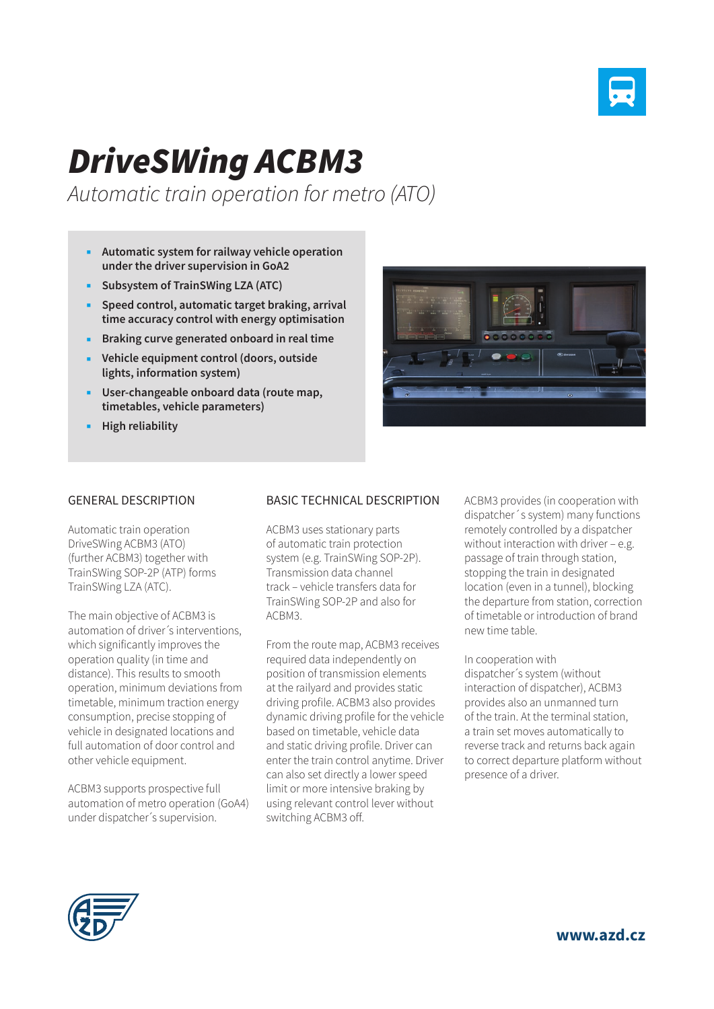

## *DriveSWing ACBM3*

*Automatic train operation for metro (ATO)*

- **Automatic system for railway vehicle operation under the driver supervision in GoA2**
- **Subsystem of TrainSWing LZA (ATC)**
- **Speed control, automatic target braking, arrival time accuracy control with energy optimisation**
- **Braking curve generated onboard in real time**
- **Vehicle equipment control (doors, outside lights, information system)**
- **User-changeable onboard data (route map, timetables, vehicle parameters)**
- **High reliability**



## GENERAL DESCRIPTION

Automatic train operation DriveSWing ACBM3 (ATO) (further ACBM3) together with TrainSWing SOP-2P (ATP) forms TrainSWing LZA (ATC).

The main objective of ACBM3 is automation of driver´s interventions, which significantly improves the operation quality (in time and distance). This results to smooth operation, minimum deviations from timetable, minimum traction energy consumption, precise stopping of vehicle in designated locations and full automation of door control and other vehicle equipment.

ACBM3 supports prospective full automation of metro operation (GoA4) under dispatcher´s supervision.

## BASIC TECHNICAL DESCRIPTION

ACBM3 uses stationary parts of automatic train protection system (e.g. TrainSWing SOP-2P). Transmission data channel track – vehicle transfers data for TrainSWing SOP-2P and also for ACBM3.

From the route map, ACBM3 receives required data independently on position of transmission elements at the railyard and provides static driving profile. ACBM3 also provides dynamic driving profile for the vehicle based on timetable, vehicle data and static driving profile. Driver can enter the train control anytime. Driver can also set directly a lower speed limit or more intensive braking by using relevant control lever without switching ACBM3 off.

ACBM3 provides (in cooperation with dispatcher´s system) many functions remotely controlled by a dispatcher without interaction with driver – e.g. passage of train through station, stopping the train in designated location (even in a tunnel), blocking the departure from station, correction of timetable or introduction of brand new time table.

In cooperation with dispatcher´s system (without interaction of dispatcher), ACBM3 provides also an unmanned turn of the train. At the terminal station, a train set moves automatically to reverse track and returns back again to correct departure platform without presence of a driver.



**www.azd.cz**